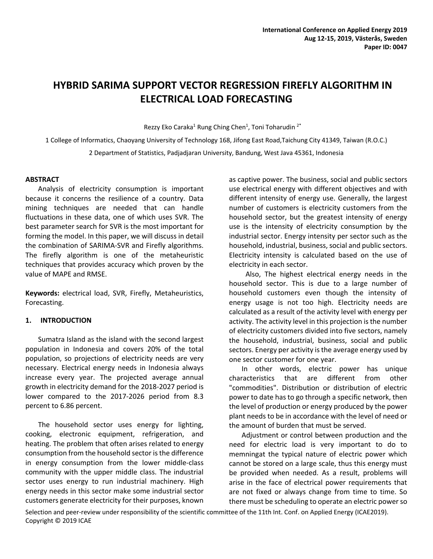# **HYBRID SARIMA SUPPORT VECTOR REGRESSION FIREFLY ALGORITHM IN ELECTRICAL LOAD FORECASTING**

Rezzy Eko Caraka<sup>1</sup> Rung Ching Chen<sup>1</sup>, Toni Toharudin<sup>2\*</sup>

1 College of Informatics, Chaoyang University of Technology 168, Jifong East Road,Taichung City 41349, Taiwan (R.O.C.) 2 Department of Statistics, Padjadjaran University, Bandung, West Java 45361, Indonesia

## **ABSTRACT**

Analysis of electricity consumption is important because it concerns the resilience of a country. Data mining techniques are needed that can handle fluctuations in these data, one of which uses SVR. The best parameter search for SVR is the most important for forming the model. In this paper, we will discuss in detail the combination of SARIMA-SVR and Firefly algorithms. The firefly algorithm is one of the metaheuristic techniques that provides accuracy which proven by the value of MAPE and RMSE.

**Keywords:** electrical load, SVR, Firefly, Metaheuristics, Forecasting.

# **1. INTRODUCTION**

Sumatra Island as the island with the second largest population in Indonesia and covers 20% of the total population, so projections of electricity needs are very necessary. Electrical energy needs in Indonesia always increase every year. The projected average annual growth in electricity demand for the 2018-2027 period is lower compared to the 2017-2026 period from 8.3 percent to 6.86 percent.

The household sector uses energy for lighting, cooking, electronic equipment, refrigeration, and heating. The problem that often arises related to energy consumption from the household sector is the difference in energy consumption from the lower middle-class community with the upper middle class. The industrial sector uses energy to run industrial machinery. High energy needs in this sector make some industrial sector customers generate electricity for their purposes, known as captive power. The business, social and public sectors use electrical energy with different objectives and with different intensity of energy use. Generally, the largest number of customers is electricity customers from the household sector, but the greatest intensity of energy use is the intensity of electricity consumption by the industrial sector. Energy intensity per sector such as the household, industrial, business, social and public sectors. Electricity intensity is calculated based on the use of electricity in each sector.

Also, The highest electrical energy needs in the household sector. This is due to a large number of household customers even though the intensity of energy usage is not too high. Electricity needs are calculated as a result of the activity level with energy per activity. The activity level in this projection is the number of electricity customers divided into five sectors, namely the household, industrial, business, social and public sectors. Energy per activity is the average energy used by one sector customer for one year.

In other words, electric power has unique characteristics that are different from other "commodities". Distribution or distribution of electric power to date has to go through a specific network, then the level of production or energy produced by the power plant needs to be in accordance with the level of need or the amount of burden that must be served.

Adjustment or control between production and the need for electric load is very important to do to memningat the typical nature of electric power which cannot be stored on a large scale, thus this energy must be provided when needed. As a result, problems will arise in the face of electrical power requirements that are not fixed or always change from time to time. So there must be scheduling to operate an electric power so

Selection and peer-review under responsibility of the scientific committee of the 11th Int. Conf. on Applied Energy (ICAE2019). Copyright © 2019 ICAE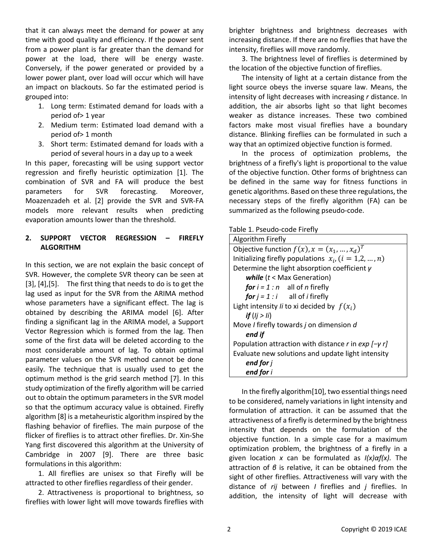that it can always meet the demand for power at any time with good quality and efficiency. If the power sent from a power plant is far greater than the demand for power at the load, there will be energy waste. Conversely, if the power generated or provided by a lower power plant, over load will occur which will have an impact on blackouts. So far the estimated period is grouped into:

- 1. Long term: Estimated demand for loads with a period of> 1 year
- 2. Medium term: Estimated load demand with a period of> 1 month
- 3. Short term: Estimated demand for loads with a period of several hours in a day up to a week

In this paper, forecasting will be using support vector regression and firefly heuristic optimization [1]. The combination of SVR and FA will produce the best parameters for SVR forecasting. Moreover, Moazenzadeh et al. [2] provide the SVR and SVR-FA models more relevant results when predicting evaporation amounts lower than the threshold.

# **2. SUPPORT VECTOR REGRESSION – FIREFLY ALGORITHM**

In this section, we are not explain the basic concept of SVR. However, the complete SVR theory can be seen at [3], [4],[5]. The first thing that needs to do is to get the lag used as input for the SVR from the ARIMA method whose parameters have a significant effect. The lag is obtained by describing the ARIMA model [6]. After finding a significant lag in the ARIMA model, a Support Vector Regression which is formed from the lag. Then some of the first data will be deleted according to the most considerable amount of lag. To obtain optimal parameter values on the SVR method cannot be done easily. The technique that is usually used to get the optimum method is the grid search method [7]. In this study optimization of the firefly algorithm will be carried out to obtain the optimum parameters in the SVR model so that the optimum accuracy value is obtained. Firefly algorithm [8] is a metaheuristic algorithm inspired by the flashing behavior of fireflies. The main purpose of the flicker of fireflies is to attract other fireflies. Dr. Xin-She Yang first discovered this algorithm at the University of Cambridge in 2007 [9]. There are three basic formulations in this algorithm:

1. All fireflies are unisex so that Firefly will be attracted to other fireflies regardless of their gender.

2. Attractiveness is proportional to brightness, so fireflies with lower light will move towards fireflies with

brighter brightness and brightness decreases with increasing distance. If there are no fireflies that have the intensity, fireflies will move randomly.

3. The brightness level of fireflies is determined by the location of the objective function of fireflies.

The intensity of light at a certain distance from the light source obeys the inverse square law. Means, the intensity of light decreases with increasing *r* distance. In addition, the air absorbs light so that light becomes weaker as distance increases. These two combined factors make most visual fireflies have a boundary distance. Blinking fireflies can be formulated in such a way that an optimized objective function is formed.

In the process of optimization problems, the brightness of a firefly's light is proportional to the value of the objective function. Other forms of brightness can be defined in the same way for fitness functions in genetic algorithms. Based on these three regulations, the necessary steps of the firefly algorithm (FA) can be summarized as the following pseudo-code.

## Table 1. Pseudo-code Firefly

| Algorithm Firefly                                         |
|-----------------------------------------------------------|
| Objective function $f(x)$ , $x = (x_1, , x_d)^T$          |
| Initializing firefly populations $x_i$ , $(i = 1,2,,n)$   |
| Determine the light absorption coefficient $\gamma$       |
| while $(t <$ Max Generation)                              |
| for $i = 1 : n$ all of <i>n</i> firefly                   |
| <b>for</b> $j = 1$ : <i>i</i> all of <i>i</i> firefly     |
| Light intensity <i>li</i> to xi decided by $f(x_i)$       |
| if $(i > ii)$                                             |
| Move / firefly towards <i>j</i> on dimension d            |
| end if                                                    |
| Population attraction with distance r in $exp[-\gamma r]$ |
| Evaluate new solutions and update light intensity         |
| end for j                                                 |
| end for i                                                 |

In the firefly algorithm[10], two essential things need to be considered, namely variations in light intensity and formulation of attraction. it can be assumed that the attractiveness of a firefly is determined by the brightness intensity that depends on the formulation of the objective function. In a simple case for a maximum optimization problem, the brightness of a firefly in a given location *x* can be formulated as *I(x)αf(x).* The attraction of *β* is relative, it can be obtained from the sight of other fireflies. Attractiveness will vary with the distance of *rij* between *I* fireflies and *j* fireflies. In addition, the intensity of light will decrease with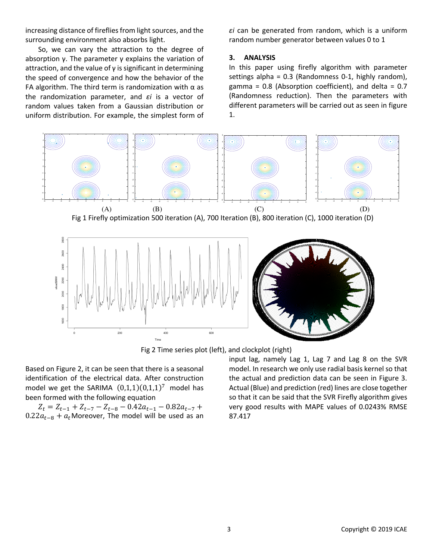increasing distance of fireflies from light sources, and the surrounding environment also absorbs light.

So, we can vary the attraction to the degree of absorption γ. The parameter γ explains the variation of attraction, and the value of  $\gamma$  is significant in determining the speed of convergence and how the behavior of the FA algorithm. The third term is randomization with  $\alpha$  as the randomization parameter, and *εi* is a vector of random values taken from a Gaussian distribution or uniform distribution. For example, the simplest form of *εi* can be generated from random, which is a uniform random number generator between values 0 to 1

#### **3. ANALYSIS**

In this paper using firefly algorithm with parameter settings alpha = 0.3 (Randomness 0-1, highly random), gamma =  $0.8$  (Absorption coefficient), and delta =  $0.7$ (Randomness reduction). Then the parameters with different parameters will be carried out as seen in figure 1.





Fig 2 Time series plot (left), and clockplot (right)

Based on Figure 2, it can be seen that there is a seasonal identification of the electrical data. After construction model we get the SARIMA  $(0,1,1)(0,1,1)^7$  model has been formed with the following equation

 $Z_t = Z_{t-1} + Z_{t-7} - Z_{t-8} - 0.42a_{t-1} - 0.82a_{t-7} +$  $0.22a_{t-8} + a_t$ Moreover, The model will be used as an

input lag, namely Lag 1, Lag 7 and Lag 8 on the SVR model. In research we only use radial basis kernel so that the actual and prediction data can be seen in Figure 3. Actual (Blue) and prediction (red) lines are close together so that it can be said that the SVR Firefly algorithm gives very good results with MAPE values of 0.0243% RMSE 87.417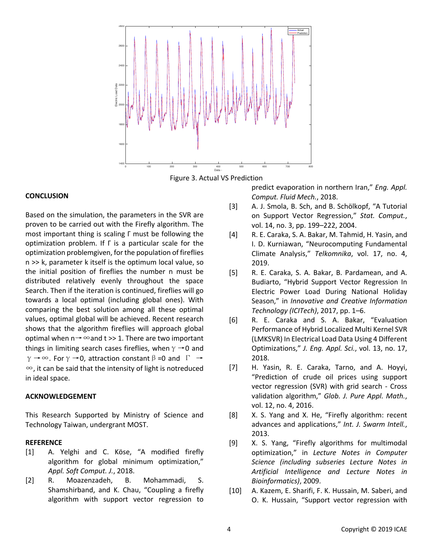

Figure 3. Actual VS Prediction

## **CONCLUSION**

Based on the simulation, the parameters in the SVR are proven to be carried out with the Firefly algorithm. The most important thing is scaling Γ must be following the optimization problem. If Γ is a particular scale for the optimization problemgiven, for the population of fireflies n >> k, parameter k itself is the optimum local value, so the initial position of fireflies the number n must be distributed relatively evenly throughout the space Search. Then if the iteration is continued, fireflies will go towards a local optimal (including global ones). With comparing the best solution among all these optimal values, optimal global will be achieved. Recent research shows that the algorithm fireflies will approach global optimal when  $n \rightarrow \infty$  and t >> 1. There are two important things in limiting search cases fireflies, when  $\gamma \rightarrow 0$  and  $\gamma \rightarrow \infty$ . For  $\gamma \rightarrow 0$ , attraction constant  $\beta = 0$  and  $\Gamma \rightarrow$ ∞, it can be said that the intensity of light is notreduced in ideal space.

#### **ACKNOWLEDGEMENT**

This Research Supported by Ministry of Science and Technology Taiwan, undergrant MOST.

#### **REFERENCE**

- [1] A. Yelghi and C. Köse, "A modified firefly algorithm for global minimum optimization," *Appl. Soft Comput. J.*, 2018.
- [2] R. Moazenzadeh, B. Mohammadi, S. Shamshirband, and K. Chau, "Coupling a firefly algorithm with support vector regression to

predict evaporation in northern Iran," *Eng. Appl. Comput. Fluid Mech.*, 2018.

- [3] A. J. Smola, B. Sch, and B. Schölkopf, "A Tutorial on Support Vector Regression," *Stat. Comput.*, vol. 14, no. 3, pp. 199–222, 2004.
- [4] R. E. Caraka, S. A. Bakar, M. Tahmid, H. Yasin, and I. D. Kurniawan, "Neurocomputing Fundamental Climate Analysis," *Telkomnika*, vol. 17, no. 4, 2019.
- [5] R. E. Caraka, S. A. Bakar, B. Pardamean, and A. Budiarto, "Hybrid Support Vector Regression In Electric Power Load During National Holiday Season," in *Innovative and Creative Information Technology (ICITech)*, 2017, pp. 1–6.
- [6] R. E. Caraka and S. A. Bakar, "Evaluation Performance of Hybrid Localized Multi Kernel SVR (LMKSVR) In Electrical Load Data Using 4 Different Optimizations," *J. Eng. Appl. Sci.*, vol. 13, no. 17, 2018.
- [7] H. Yasin, R. E. Caraka, Tarno, and A. Hoyyi, "Prediction of crude oil prices using support vector regression (SVR) with grid search - Cross validation algorithm," *Glob. J. Pure Appl. Math.*, vol. 12, no. 4, 2016.
- [8] X. S. Yang and X. He, "Firefly algorithm: recent advances and applications," *Int. J. Swarm Intell.*, 2013.
- [9] X. S. Yang, "Firefly algorithms for multimodal optimization," in *Lecture Notes in Computer Science (including subseries Lecture Notes in Artificial Intelligence and Lecture Notes in Bioinformatics)*, 2009.
- [10] A. Kazem, E. Sharifi, F. K. Hussain, M. Saberi, and O. K. Hussain, "Support vector regression with